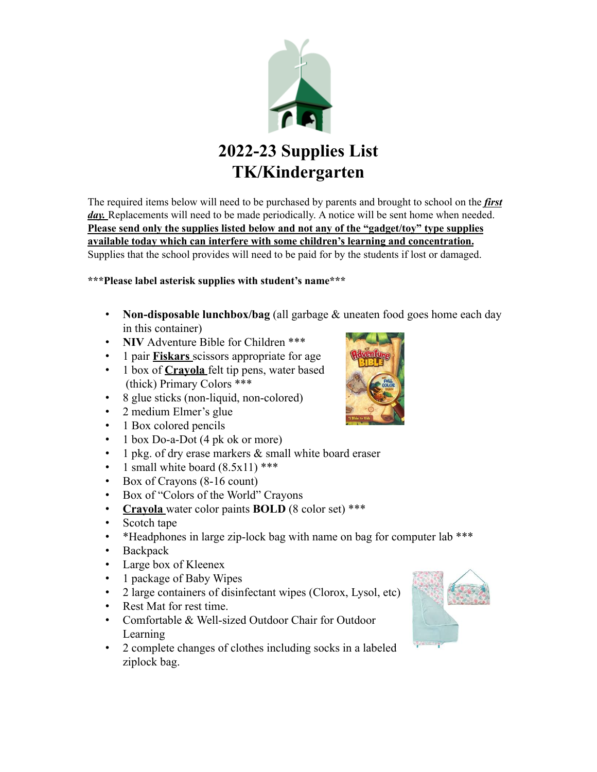

The required items below will need to be purchased by parents and brought to school on the *first* day. Replacements will need to be made periodically. A notice will be sent home when needed. **Please send only the supplies listed below and not any of the "gadget/toy" type supplies available today which can interfere with some children's learning and concentration.** Supplies that the school provides will need to be paid for by the students if lost or damaged.

#### **\*\*\*Please label asterisk supplies with student's name\*\*\***

- **Non-disposable lunchbox/bag** (all garbage & uneaten food goes home each day in this container)
- **NIV** Adventure Bible for Children \*\*\*
- 1 pair **Fiskars** scissors appropriate for age
- 1 box of **Crayola** felt tip pens, water based (thick) Primary Colors \*\*\*
- 8 glue sticks (non-liquid, non-colored)
- 2 medium Elmer's glue
- 1 Box colored pencils
- 1 box Do-a-Dot (4 pk ok or more)
- 1 pkg. of dry erase markers & small white board eraser
- 1 small white board  $(8.5x11)$ \*\*\*
- Box of Crayons (8-16 count)
- Box of "Colors of the World" Crayons
- **Crayola** water color paints **BOLD** (8 color set) \*\*\*
- Scotch tape
- \* Headphones in large zip-lock bag with name on bag for computer lab \*\*\*
- Backpack
- Large box of Kleenex
- 1 package of Baby Wipes
- 2 large containers of disinfectant wipes (Clorox, Lysol, etc)
- Rest Mat for rest time.
- Comfortable & Well-sized Outdoor Chair for Outdoor Learning
- 2 complete changes of clothes including socks in a labeled ziplock bag.



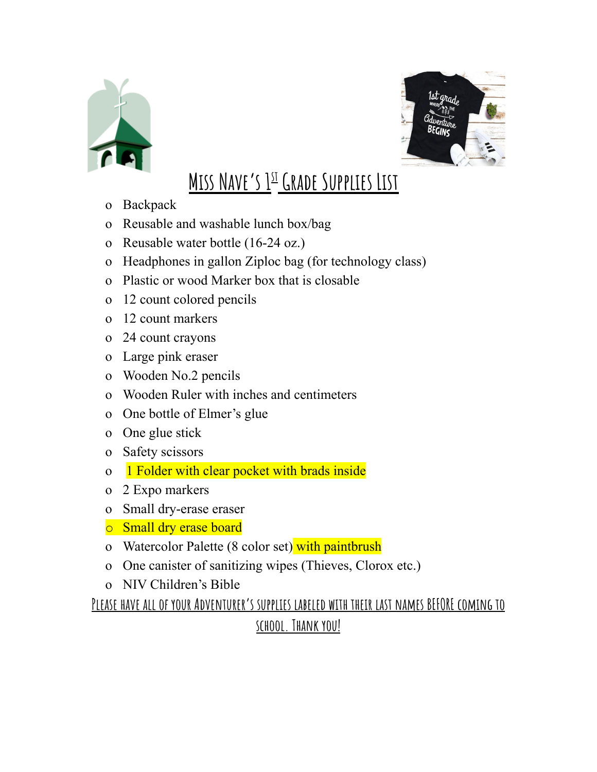



# **Miss Nave's 1 st Grade Supplies List**

- o Backpack
- o Reusable and washable lunch box/bag
- o Reusable water bottle (16-24 oz.)
- o Headphones in gallon Ziploc bag (for technology class)
- o Plastic or wood Marker box that is closable
- o 12 count colored pencils
- o 12 count markers
- o 24 count crayons
- o Large pink eraser
- o Wooden No.2 pencils
- o Wooden Ruler with inches and centimeters
- o One bottle of Elmer's glue
- o One glue stick
- o Safety scissors
- o 1 Folder with clear pocket with brads inside
- o 2 Expo markers
- o Small dry-erase eraser
- o Small dry erase board
- o Watercolor Palette (8 color set) with paintbrush
- o One canister of sanitizing wipes (Thieves, Clorox etc.)
- o NIV Children's Bible

**Please have all of your Adventurer's supplies labeled with their last names BEFORE coming to**

### **school. Thank you!**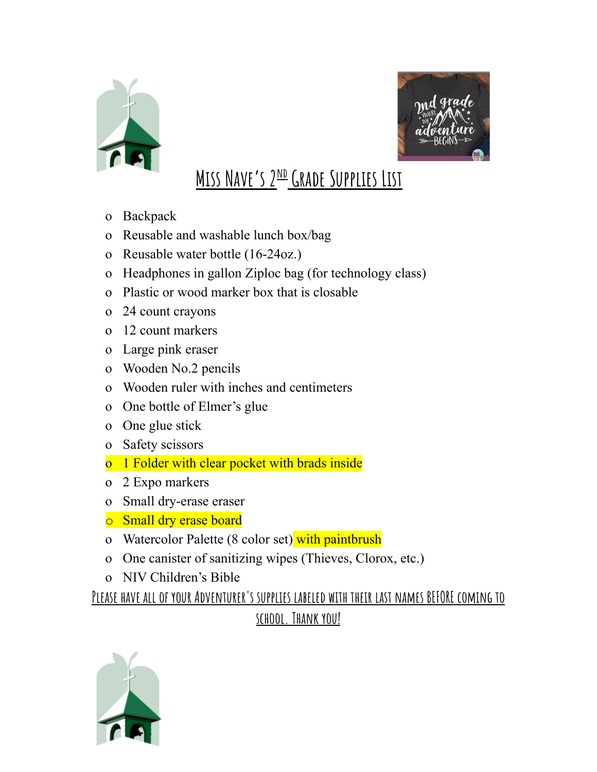



# **MISS NAVE'S 2<sup>ND</sup> GRADE SUPPLIES LIST**

- o Backpack
- o Reusable and washable lunch box/bag
- o Reusable water bottle (16-24oz.)
- o Headphones in gallon Ziploc bag (for technology class)
- o Plastic or wood marker box that is closable
- o 24 count crayons
- o 12 count markers
- o Large pink eraser
- o Wooden No.2 pencils
- o Wooden ruler with inches and centimeters
- o One bottle of Elmer's glue
- o One glue stick
- o Safety scissors
- o 1 Folder with clear pocket with brads inside
- o 2 Expo markers
- o Small dry-erase eraser
- o Small dry erase board
- o Watercolor Palette (8 color set) with paintbrush
- o One canister of sanitizing wipes (Thieves, Clorox, etc.)
- o NIV Children's Bible

**Please have all of your Adventurer's supplies labeled with their last names BEFORE coming to school. Thank you!**

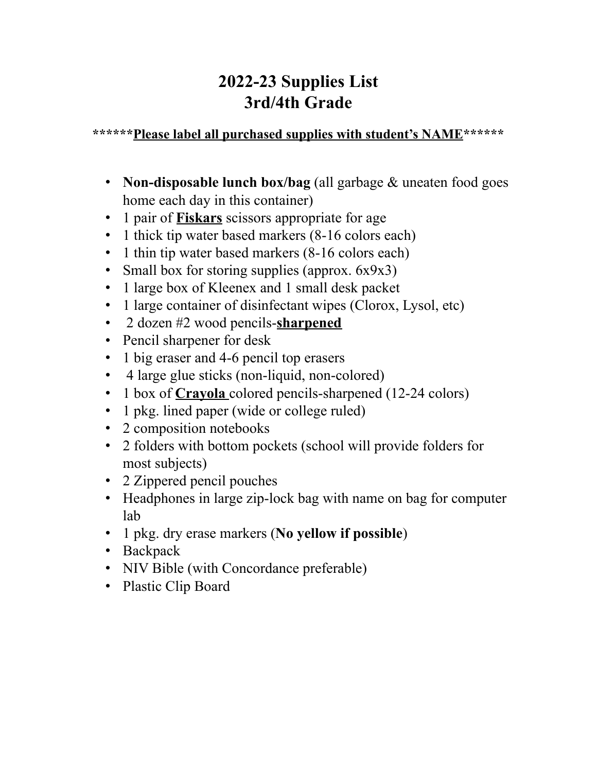## **2022-23 Supplies List 3rd/4th Grade**

#### **\*\*\*\*\*\*Please label all purchased supplies with student's NAME\*\*\*\*\*\***

- **Non-disposable lunch box/bag** (all garbage & uneaten food goes home each day in this container)
- 1 pair of **Fiskars** scissors appropriate for age
- 1 thick tip water based markers (8-16 colors each)
- 1 thin tip water based markers (8-16 colors each)
- Small box for storing supplies (approx. 6x9x3)
- 1 large box of Kleenex and 1 small desk packet
- 1 large container of disinfectant wipes (Clorox, Lysol, etc)
- 2 dozen #2 wood pencils-**sharpened**
- Pencil sharpener for desk
- 1 big eraser and 4-6 pencil top erasers
- 4 large glue sticks (non-liquid, non-colored)
- 1 box of **Crayola** colored pencils-sharpened (12-24 colors)
- 1 pkg. lined paper (wide or college ruled)
- 2 composition notebooks
- 2 folders with bottom pockets (school will provide folders for most subjects)
- 2 Zippered pencil pouches
- Headphones in large zip-lock bag with name on bag for computer lab
- 1 pkg. dry erase markers (**No yellow if possible**)
- Backpack
- NIV Bible (with Concordance preferable)
- Plastic Clip Board